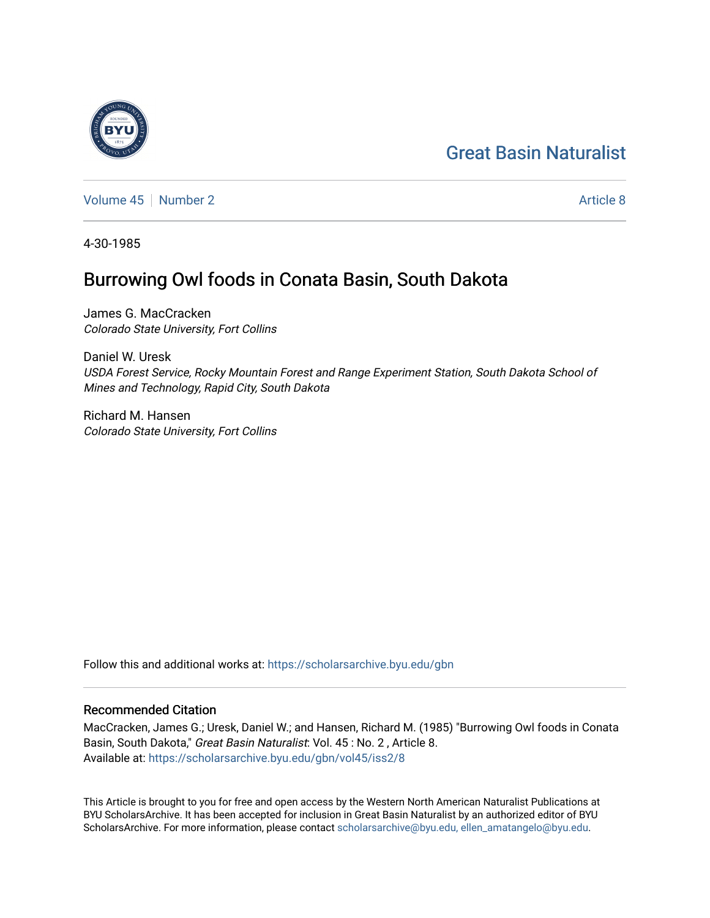# [Great Basin Naturalist](https://scholarsarchive.byu.edu/gbn)

[Volume 45](https://scholarsarchive.byu.edu/gbn/vol45) | [Number 2](https://scholarsarchive.byu.edu/gbn/vol45/iss2) Article 8

4-30-1985

## Burrowing Owl foods in Conata Basin, South Dakota

James G. MacCracken Colorado State University, Fort Collins

Daniel W. Uresk USDA Forest Service, Rocky Mountain Forest and Range Experiment Station, South Dakota School of Mines and Technology, Rapid City, South Dakota

Richard M. Hansen Colorado State University, Fort Collins

Follow this and additional works at: [https://scholarsarchive.byu.edu/gbn](https://scholarsarchive.byu.edu/gbn?utm_source=scholarsarchive.byu.edu%2Fgbn%2Fvol45%2Fiss2%2F8&utm_medium=PDF&utm_campaign=PDFCoverPages) 

### Recommended Citation

MacCracken, James G.; Uresk, Daniel W.; and Hansen, Richard M. (1985) "Burrowing Owl foods in Conata Basin, South Dakota," Great Basin Naturalist: Vol. 45: No. 2, Article 8. Available at: [https://scholarsarchive.byu.edu/gbn/vol45/iss2/8](https://scholarsarchive.byu.edu/gbn/vol45/iss2/8?utm_source=scholarsarchive.byu.edu%2Fgbn%2Fvol45%2Fiss2%2F8&utm_medium=PDF&utm_campaign=PDFCoverPages)

This Article is brought to you for free and open access by the Western North American Naturalist Publications at BYU ScholarsArchive. It has been accepted for inclusion in Great Basin Naturalist by an authorized editor of BYU ScholarsArchive. For more information, please contact [scholarsarchive@byu.edu, ellen\\_amatangelo@byu.edu.](mailto:scholarsarchive@byu.edu,%20ellen_amatangelo@byu.edu)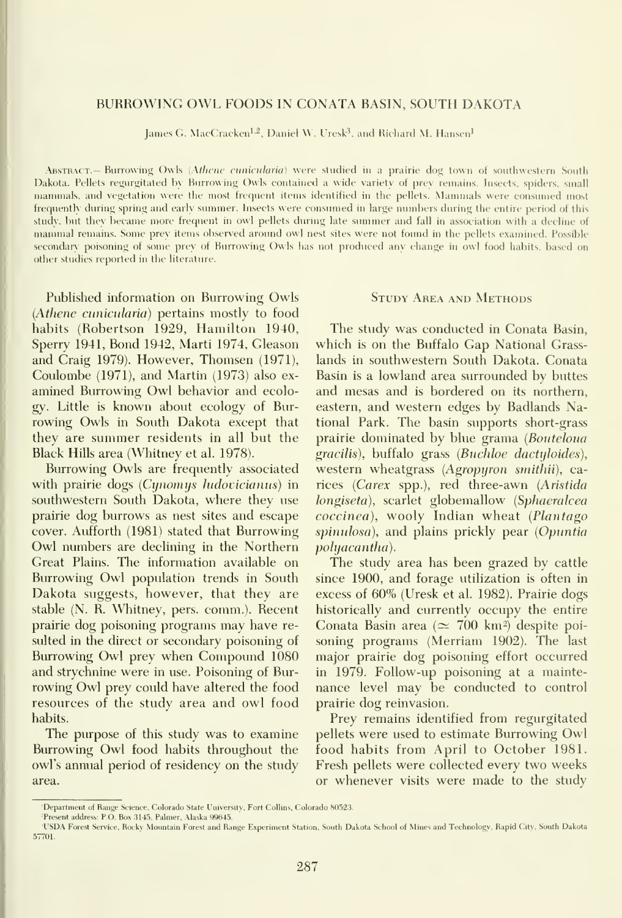#### BURROWING OWL FOODS IN CONATA BASIN, SOUTH DAKOTA

James G. MacCracken<sup>1,2</sup>, Daniel W. Uresk<sup>3</sup>, and Richard M. Hansen<sup>1</sup>

ABSTRACT.— Burrowing Owls (Athene cunicularia) were studied in a prairie dog town of southwestern South Dakota. Pellets regurgitated by Burrowing Owls contained a wide variety of prey remains. Insects, spiders, small mammals, and vegetation were the most frequent items identified in the pellets. Mammals were consumed most frequently dining spring and early summer. Insects were consumed in large numbers during the entire period of this studv, but they became more frequent in owl pellets during late summer and fall in association with <sup>a</sup> decline of mammal remains. Some prey items observed aroimd owl nest sites were not foimd in the pellets examined. Possible secondary poisoning of some prey of Burrowing Owls has not produced any change in owl food habits, based on other studies reported in the literature.

Published information on Burrowing Owls (Athene cunicularia) pertains mostly to food habits (Robertson 1929, Hamilton 1940, Sperry 1941, Bond 1942, Marti 1974, Gleason and Craig 1979). However, Thomsen (1971), Coulombe (1971), and Martin (1973) also ex amined Burrowing Owl behavior and ecology. Little is known about ecology of Bur rowing Owls in South Dakota except that thev are summer residents in all but the Black Hills area (Whitney et al. 1978).

Burrowing Owls are frequently associated with prairie dogs (Cynomys ludovicianus) in southwestern South Dakota, where they use prairie dog burrows as nest sites and escape cover. Aufforth (1981) stated that Burrowing Owl numbers are declining in the Northern Great Plains. The information available on Burrowing Owl population trends in South Dakota suggests, however, that they are stable (N. R. Whitney, pers. comm.). Recent prairie dog poisoning programs may have re sulted in the direct or secondary poisoning of Burrowing Owl prey when Compound 1080 and strychnine were in use. Poisoning of Bur rowing Owl prey could have altered the food resources of the study area and owl food habits.

The purpose of this study was to examine Burrowing Owl food habits throughout the owl's annual period of residency on the study area.

#### Study Area and Methods

The study was conducted in Conata Basin, which is on the Buffalo Gap National Grasslands in southwestern South Dakota. Conata Basin is a lowland area surrounded by buttes and mesas and is bordered on its northern, eastern, and western edges by Badlands National Park. The basin supports short-grass prairie dominated by blue grama (Bouteloua gracilis), buffalo grass (Buchloe dactyloides), western wheatgrass (Agropyron smithii), carices (Carex spp.), red three-awn {Aristida longiseta), scarlet globemallow (Sphaeralcea coccinea), wooly Indian wheat (Plantago spinulosa), and plains prickly pear (Opuntia pohjacantha).

The study area has been grazed by cattle since 1900, and forage utilization is often in excess of 60% (Uresk et al. 1982). Prairie dogs historically and currently occupy the entire Conata Basin area ( $\simeq 700 \text{ km}^2$ ) despite poisoning programs (Merriam 1902). The last major prairie dog poisoning effort occurred in 1979. Follow-up poisoning at a mainte nance level may be conducted to control prairie dog reinvasion.

Prey remains identified from regurgitated pellets were used to estimate Burrowing Owl food habits from April to October 1981. Fresh pellets were collected every two weeks or whenever visits were made to the study

<sup>&#</sup>x27;Department of Range Science, Colorado State University, Fort Collins, Colorado 80523.

Present address: P.O. Box 3145, Palmer, Alaska 99645.

<sup>&#</sup>x27;USDA Forest Service, Rocky Mountain Forest and Range Experiment Station, South Dakota School of Mines and Technology, Rapid City, South Dakota<br>57701.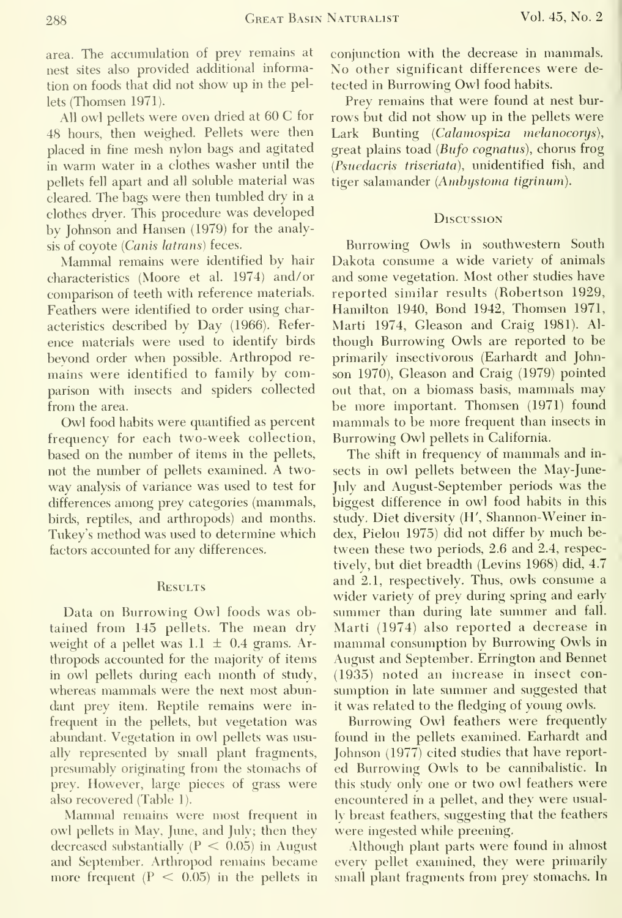area. The accumulation of prey remains at nest sites also provided additional information on foods that did not show up in the pellets (Thomsen 1971).

All owl pellets were oven dried at 60 C for 48 hours, then weighed. Pellets were then placed in fine mesh nylon bags and agitated in warm water in <sup>a</sup> clothes washer until the pellets fell apart and all soluble material was cleared. The bags were then tumbled dry in a clothes dryer. This procedure was developed by Johnson and Hansen (1979) for the analysis of coyote (Canis latrans) feces.

Mammal remains were identified by hair characteristics (Moore et al. 1974) and/ or comparison of teeth with reference materials. Feathers were identified to order using characteristics described by Day (1966). Refer ence materials were used to identify birds beyond order when possible. Arthropod re mains were identified to family by comparison with insects and spiders collected from the area.

Owl food habits were quantified as percent frequency for each two-week collection, based on the number of items in the pellets, not the number of pellets examined. A twoway analysis of variance was used to test for differences among prey categories (mammals, birds, reptiles, and arthropods) and months. Tukey's method was used to determine which factors accounted for any differences.

#### **RESULTS**

Data on Burrowing Owl foods was obtained from 145 pellets. The mean dry weight of a pellet was  $1.1 \pm 0.4$  grams. Arthropods accoimted for the majority of items in owl pellets during each month of study, whereas mammals were the next most abundant prey item. Reptile remains were in frequent in the pellets, but vegetation was abundant. Vegetation in owl pellets was usually represented by small plant fragments, presumably originating from the stomachs of prey. However, large pieces of grass were also recovered (Table 1).

Mammal remains were most frequent in owl pellets in May, June, and July; then they decreased substantially  $(P < 0.05)$  in August and September. Arthropod remains became more frequent  $(P < 0.05)$  in the pellets in conjunction with the decrease in mammals. No other significant differences were de tected in Burrowing Owl food habits.

Prey remains that were found at nest burrows but did not show up in the pellets were Lark Bunting (Calamospiza melanocorys), great plains toad (Bufo cognatus), chorus frog (Psuedacris triseriata), unidentified fish, and tiger salamander (Ambystoma tigrinum).

#### **Discussion**

Burrowing Owls in southwestern South Dakota consume a wide variety of animals and some vegetation. Most other studies have reported similar results (Robertson 1929, Hamilton 1940, Bond 1942, Thomsen 1971, Marti 1974, Gleason and Craig 1981). Al though Burrowing Owls are reported to be primarily insectivorous (Earhardt and Johnson 1970), Gleason and Craig (1979) pointed out that, on <sup>a</sup> biomass basis, mammals may be more important. Thomsen (1971) found mammals to be more frequent than insects in Burrowing Owl pellets in California.

The shift in frequency of mammals and in sects in owl pellets between the May-June-July and August-September periods was the biggest difference in owl food habits in this study. Diet diversity (H', Shannon-Weiner in dex, Pielou 1975) did not differ by much be tween these two periods, 2.6 and 2.4, respectively, but diet breadth (Levins 1968) did, 4.7 and 2.1, respectively. Thus, owls consume a wider variety of prey during spring and early summer than during late summer and fall. Marti (1974) also reported a decrease in mammal consumption by Burrowing Owls in August and September. Errington and Bennet (1935) noted an increase in insect con sumption in late summer and suggested that it was related to the fledging of young owls.

Burrowing Owl feathers were frequently found in the pellets examined. Earhardt and Johnson (1977) cited studies that have report ed Burrowing Owls to be cannibalistic. In this study only one or two owl feathers were encountered in a pellet, and they were usually breast feathers, suggesting that the feathers were ingested while preening.

Although plant parts were found in almost every pellet examined, they were primarily small plant fragments from prey stomachs. In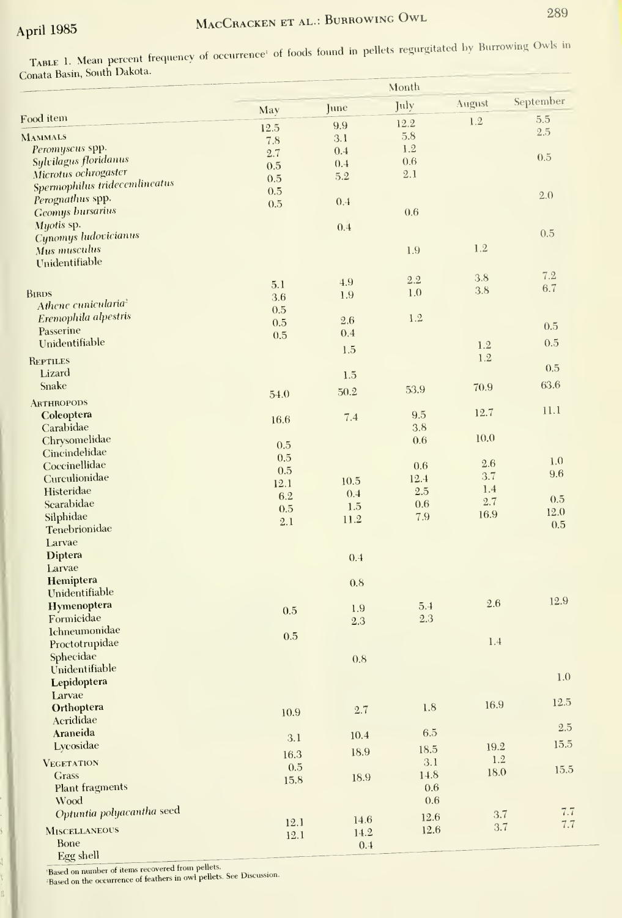TABLE 1. Mean percent frequency of occurrence<sup>1</sup> of foods found in pellets regurgitated by Burrowing Owls in Conata Basin, South Dakota.

|                                                       | Month       |            |            |             |            |
|-------------------------------------------------------|-------------|------------|------------|-------------|------------|
|                                                       | May         | June       | July       | August      | September  |
| Food item                                             | 12.5        | 9.9        | 12.2       | 1.2         | 5.5        |
| <b>MAMMALS</b>                                        | 7.8         | 3.1        | 5.8        |             | 2.5        |
| Peromyscus spp.                                       | 2.7         | 0.4        | 1.2        |             | 0.5        |
| Sylvilagus floridanus                                 | 0.5         | 0.4        | 0.6        |             |            |
| Microtus ochrogaster<br>Spermophilus tridecemlineatus | 0.5         | 5.2        | 2.1        |             |            |
| Perognathus spp.                                      | 0.5         |            |            |             | 2.0        |
| <b>Geomys bursarius</b>                               | 0.5         | 0.4        | 0.6        |             |            |
| Myotis sp.                                            |             | 0.4        |            |             |            |
| Cynomys ludovicianus                                  |             |            |            |             | 0.5        |
| Mus musculus                                          |             |            | 1.9        | 1.2         |            |
| Unidentifiable                                        |             |            |            |             |            |
|                                                       | 5.1         | 4.9        | 2.2        | 3.8         | 7.2<br>6.7 |
| <b>BIRDS</b>                                          | 3.6         | 1.9        | 1.0        | 3.8         |            |
| Athene cunicularia <sup>2</sup>                       | 0.5         |            |            |             |            |
| Eremophila alpestris                                  | 0.5         | 2.6        | 1.2        |             | 0.5        |
| Passerine                                             | 0.5         | 0.4        |            |             | 0.5        |
| Unidentifiable                                        |             | 1.5        |            | 1.2         |            |
| <b>REPTILES</b>                                       |             |            |            | 1.2         | 0.5        |
| Lizard                                                |             | 1.5        |            |             |            |
| Snake                                                 | 54.0        | 50.2       | 53.9       | 70.9        | 63.6       |
| <b>ARTHROPODS</b>                                     |             |            |            | 12.7        | 11.1       |
| Coleoptera                                            | 16.6        | 7.4        | 9.5        |             |            |
| Carabidae<br>Chrysomelidae                            |             |            | 3.8<br>0.6 | 10.0        |            |
| Cincindelidae                                         | 0.5         |            |            |             |            |
| Coccinellidae                                         | 0.5         |            | 0.6        | 2.6         | 1.0        |
| Curculionidae                                         | 0.5         | 10.5       | 12.4       | 3.7         | 9.6        |
| Histeridae                                            | 12.1<br>6.2 | 0.4        | 2.5        | 1.4         |            |
| Scarabidae                                            | 0.5         | 1.5        | 0.6        | 2.7         | 0.5        |
| Silphidae                                             | 2.1         | 11.2       | 7.9        | 16.9        | 12.0       |
| Tenebrionidae                                         |             |            |            |             | 0.5        |
| Larvae                                                |             |            |            |             |            |
| <b>Diptera</b>                                        |             | 0.4        |            |             |            |
| Larvae                                                |             |            |            |             |            |
| Hemiptera<br>Unidentifiable                           |             | 0.8        |            |             |            |
| Hymenoptera                                           |             |            | 5.4        | 2.6         | 12.9       |
| Formicidae                                            | 0.5         | 1.9<br>2.3 | 2.3        |             |            |
| <b>Ichneumonidae</b>                                  |             |            |            |             |            |
| Proctotrupidae                                        | 0.5         |            |            | 1.4         |            |
| Sphecidae                                             |             | 0.8        |            |             |            |
| Unidentifiable                                        |             |            |            |             | 1.0        |
| Lepidoptera                                           |             |            |            |             |            |
| Larvae                                                |             |            |            | 16.9        | 12.5       |
| Orthoptera                                            | 10.9        | 2.7        | 1.8        |             |            |
| Acrididae                                             |             |            |            |             | 2.5        |
| Araneida<br>Lycosidae                                 | 3.1         | 10.4       | 6.5        |             | 15.5       |
|                                                       | 16.3        | 18.9       | 18.5       | 19.2<br>1.2 |            |
| <b>VEGETATION</b>                                     | 0.5         |            | 3.1        | 18.0        | 15.5       |
| <b>Grass</b>                                          | 15.8        | 18.9       | 14.8       |             |            |
| Plant fragments<br>Wood                               |             |            | 0.6<br>0.6 |             |            |
| Optuntia polyacantha seed                             |             |            |            | 3.7         | 7.7        |
|                                                       | 12.1        | 14.6       | 12.6       | 3.7         | 7.7        |
| <b>MISCELLANEOUS</b>                                  | 12.1        | 14.2       | 12.6       |             |            |
| Bone<br>Egg shell                                     |             | 0.4        |            |             |            |

 $\begin{tabular}{l} \hline \textbf{Based on number of items recovered from pellets.}\\ \hline \textbf{Based on the occurrence of features in owl pellets. See Discussion.} \end{tabular}$